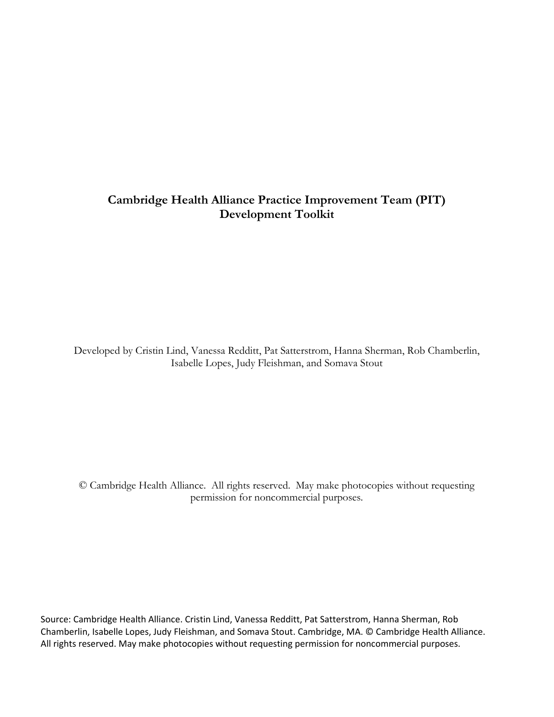# **Cambridge Health Alliance Practice Improvement Team (PIT) Development Toolkit**

Developed by Cristin Lind, Vanessa Redditt, Pat Satterstrom, Hanna Sherman, Rob Chamberlin, Isabelle Lopes, Judy Fleishman, and Somava Stout

© Cambridge Health Alliance. All rights reserved. May make photocopies without requesting permission for noncommercial purposes.

Source: Cambridge Health Alliance. Cristin Lind, Vanessa Redditt, Pat Satterstrom, Hanna Sherman, Rob Chamberlin, Isabelle Lopes, Judy Fleishman, and Somava Stout. Cambridge, MA. © Cambridge Health Alliance. All rights reserved. May make photocopies without requesting permission for noncommercial purposes.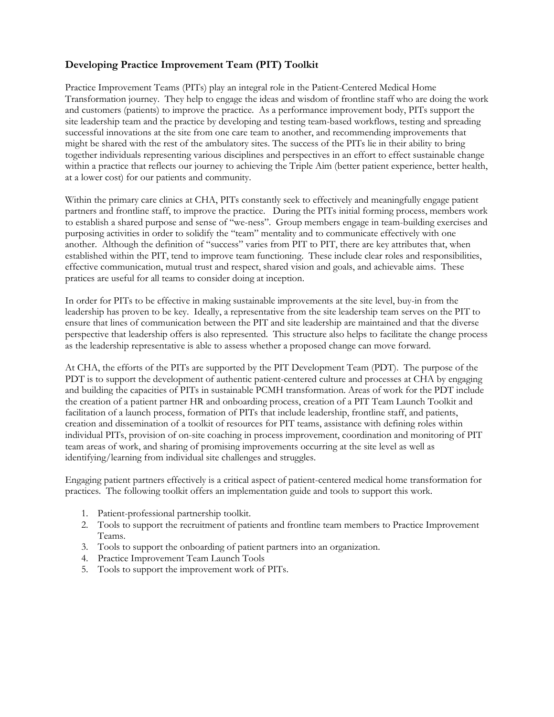# **Developing Practice Improvement Team (PIT) Toolkit**

Practice Improvement Teams (PITs) play an integral role in the Patient-Centered Medical Home Transformation journey. They help to engage the ideas and wisdom of frontline staff who are doing the work and customers (patients) to improve the practice. As a performance improvement body, PITs support the site leadership team and the practice by developing and testing team-based workflows, testing and spreading successful innovations at the site from one care team to another, and recommending improvements that might be shared with the rest of the ambulatory sites. The success of the PITs lie in their ability to bring together individuals representing various disciplines and perspectives in an effort to effect sustainable change within a practice that reflects our journey to achieving the Triple Aim (better patient experience, better health, at a lower cost) for our patients and community.

Within the primary care clinics at CHA, PITs constantly seek to effectively and meaningfully engage patient partners and frontline staff, to improve the practice. During the PITs initial forming process, members work to establish a shared purpose and sense of "we-ness". Group members engage in team-building exercises and purposing activities in order to solidify the "team" mentality and to communicate effectively with one another. Although the definition of "success" varies from PIT to PIT, there are key attributes that, when established within the PIT, tend to improve team functioning. These include clear roles and responsibilities, effective communication, mutual trust and respect, shared vision and goals, and achievable aims. These pratices are useful for all teams to consider doing at inception.

In order for PITs to be effective in making sustainable improvements at the site level, buy-in from the leadership has proven to be key. Ideally, a representative from the site leadership team serves on the PIT to ensure that lines of communication between the PIT and site leadership are maintained and that the diverse perspective that leadership offers is also represented. This structure also helps to facilitate the change process as the leadership representative is able to assess whether a proposed change can move forward.

At CHA, the efforts of the PITs are supported by the PIT Development Team (PDT). The purpose of the PDT is to support the development of authentic patient-centered culture and processes at CHA by engaging and building the capacities of PITs in sustainable PCMH transformation. Areas of work for the PDT include the creation of a patient partner HR and onboarding process, creation of a PIT Team Launch Toolkit and facilitation of a launch process, formation of PITs that include leadership, frontline staff, and patients, creation and dissemination of a toolkit of resources for PIT teams, assistance with defining roles within individual PITs, provision of on-site coaching in process improvement, coordination and monitoring of PIT team areas of work, and sharing of promising improvements occurring at the site level as well as identifying/learning from individual site challenges and struggles.

Engaging patient partners effectively is a critical aspect of patient-centered medical home transformation for practices. The following toolkit offers an implementation guide and tools to support this work.

- 1. Patient-professional partnership toolkit.
- 2. Tools to support the recruitment of patients and frontline team members to Practice Improvement Teams.
- 3. Tools to support the onboarding of patient partners into an organization.
- 4. Practice Improvement Team Launch Tools
- 5. Tools to support the improvement work of PITs.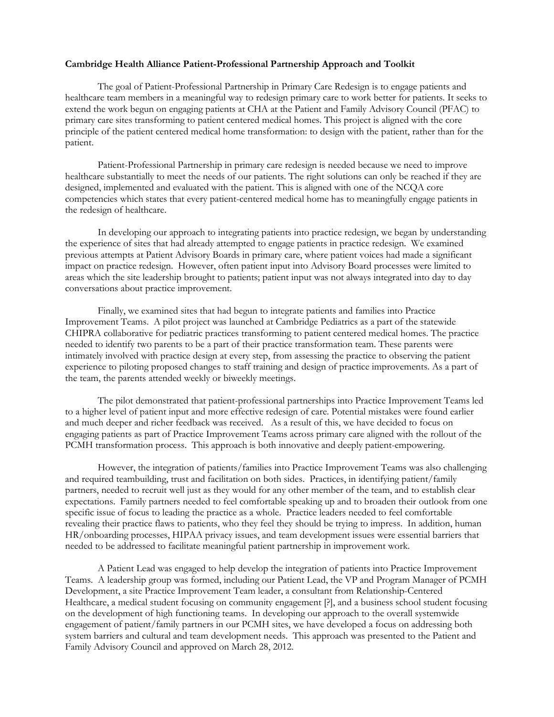#### **Cambridge Health Alliance Patient-Professional Partnership Approach and Toolkit**

The goal of Patient-Professional Partnership in Primary Care Redesign is to engage patients and healthcare team members in a meaningful way to redesign primary care to work better for patients. It seeks to extend the work begun on engaging patients at CHA at the Patient and Family Advisory Council (PFAC) to primary care sites transforming to patient centered medical homes. This project is aligned with the core principle of the patient centered medical home transformation: to design with the patient, rather than for the patient.

Patient-Professional Partnership in primary care redesign is needed because we need to improve healthcare substantially to meet the needs of our patients. The right solutions can only be reached if they are designed, implemented and evaluated with the patient. This is aligned with one of the NCQA core competencies which states that every patient-centered medical home has to meaningfully engage patients in the redesign of healthcare.

In developing our approach to integrating patients into practice redesign, we began by understanding the experience of sites that had already attempted to engage patients in practice redesign. We examined previous attempts at Patient Advisory Boards in primary care, where patient voices had made a significant impact on practice redesign. However, often patient input into Advisory Board processes were limited to areas which the site leadership brought to patients; patient input was not always integrated into day to day conversations about practice improvement.

Finally, we examined sites that had begun to integrate patients and families into Practice Improvement Teams. A pilot project was launched at Cambridge Pediatrics as a part of the statewide CHIPRA collaborative for pediatric practices transforming to patient centered medical homes. The practice needed to identify two parents to be a part of their practice transformation team. These parents were intimately involved with practice design at every step, from assessing the practice to observing the patient experience to piloting proposed changes to staff training and design of practice improvements. As a part of the team, the parents attended weekly or biweekly meetings.

The pilot demonstrated that patient-professional partnerships into Practice Improvement Teams led to a higher level of patient input and more effective redesign of care. Potential mistakes were found earlier and much deeper and richer feedback was received. As a result of this, we have decided to focus on engaging patients as part of Practice Improvement Teams across primary care aligned with the rollout of the PCMH transformation process. This approach is both innovative and deeply patient-empowering.

However, the integration of patients/families into Practice Improvement Teams was also challenging and required teambuilding, trust and facilitation on both sides. Practices, in identifying patient/family partners, needed to recruit well just as they would for any other member of the team, and to establish clear expectations. Family partners needed to feel comfortable speaking up and to broaden their outlook from one specific issue of focus to leading the practice as a whole. Practice leaders needed to feel comfortable revealing their practice flaws to patients, who they feel they should be trying to impress. In addition, human HR/onboarding processes, HIPAA privacy issues, and team development issues were essential barriers that needed to be addressed to facilitate meaningful patient partnership in improvement work.

A Patient Lead was engaged to help develop the integration of patients into Practice Improvement Teams. A leadership group was formed, including our Patient Lead, the VP and Program Manager of PCMH Development, a site Practice Improvement Team leader, a consultant from Relationship-Centered Healthcare, a medical student focusing on community engagement [?], and a business school student focusing on the development of high functioning teams. In developing our approach to the overall systemwide engagement of patient/family partners in our PCMH sites, we have developed a focus on addressing both system barriers and cultural and team development needs. This approach was presented to the Patient and Family Advisory Council and approved on March 28, 2012.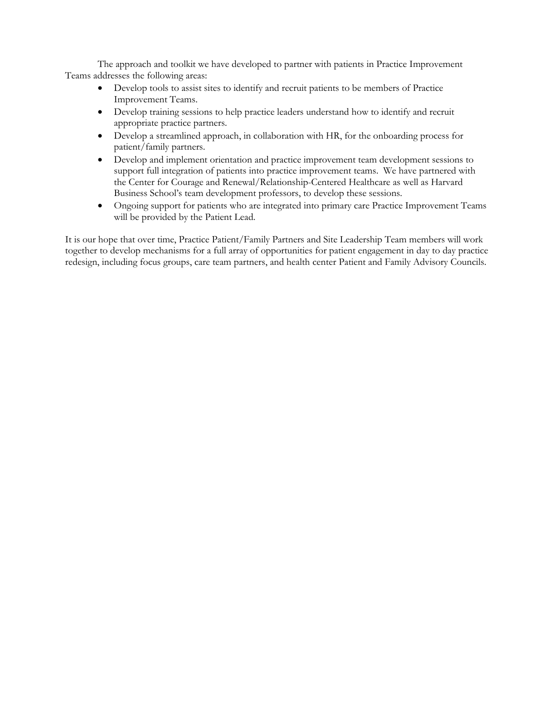The approach and toolkit we have developed to partner with patients in Practice Improvement Teams addresses the following areas:

- Develop tools to assist sites to identify and recruit patients to be members of Practice Improvement Teams.
- Develop training sessions to help practice leaders understand how to identify and recruit appropriate practice partners.
- Develop a streamlined approach, in collaboration with HR, for the onboarding process for patient/family partners.
- Develop and implement orientation and practice improvement team development sessions to support full integration of patients into practice improvement teams. We have partnered with the Center for Courage and Renewal/Relationship-Centered Healthcare as well as Harvard Business School's team development professors, to develop these sessions.
- Ongoing support for patients who are integrated into primary care Practice Improvement Teams will be provided by the Patient Lead.

It is our hope that over time, Practice Patient/Family Partners and Site Leadership Team members will work together to develop mechanisms for a full array of opportunities for patient engagement in day to day practice redesign, including focus groups, care team partners, and health center Patient and Family Advisory Councils.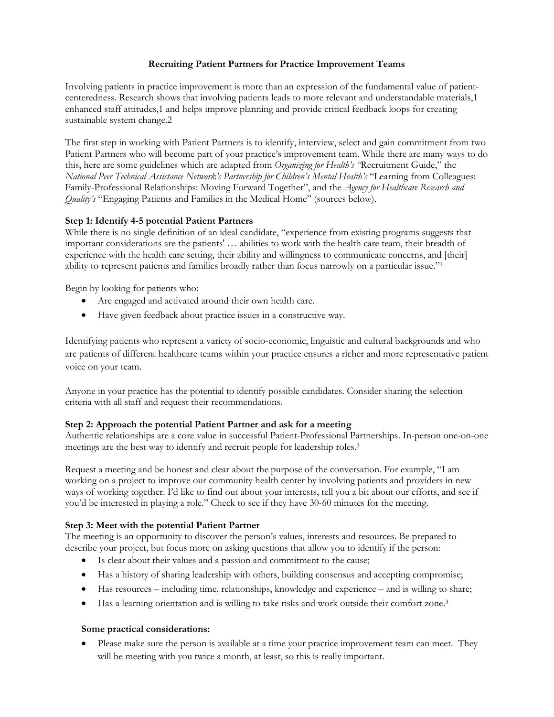#### **Recruiting Patient Partners for Practice Improvement Teams**

Involving patients in practice improvement is more than an expression of the fundamental value of patientcenteredness. Research shows that involving patients leads to more relevant and understandable materials,1 enhanced staff attitudes,1 and helps improve planning and provide critical feedback loops for creating sustainable system change.2

The first step in working with Patient Partners is to identify, interview, select and gain commitment from two Patient Partners who will become part of your practice's improvement team. While there are many ways to do this, here are some guidelines which are adapted from *Organizing for Health's "*Recruitment Guide," the *National Peer Technical Assistance Network's Partnership for Children's Mental Health's* "Learning from Colleagues: Family-Professional Relationships: Moving Forward Together", and the *Agency for Healthcare Research and Quality's* "Engaging Patients and Families in the Medical Home" (sources below).

#### **Step 1: Identify 4-5 potential Patient Partners**

While there is no single definition of an ideal candidate, "experience from existing programs suggests that important considerations are the patients' … abilities to work with the health care team, their breadth of experience with the health care setting, their ability and willingness to communicate concerns, and [their] ability to represent patients and families broadly rather than focus narrowly on a particular issue."1

Begin by looking for patients who:

- Are engaged and activated around their own health care.
- Have given feedback about practice issues in a constructive way.

Identifying patients who represent a variety of socio-economic, linguistic and cultural backgrounds and who are patients of different healthcare teams within your practice ensures a richer and more representative patient voice on your team.

Anyone in your practice has the potential to identify possible candidates. Consider sharing the selection criteria with all staff and request their recommendations.

#### **Step 2: Approach the potential Patient Partner and ask for a meeting**

Authentic relationships are a core value in successful Patient-Professional Partnerships. In-person one-on-one meetings are the best way to identify and recruit people for leadership roles.3

Request a meeting and be honest and clear about the purpose of the conversation. For example, "I am working on a project to improve our community health center by involving patients and providers in new ways of working together. I'd like to find out about your interests, tell you a bit about our efforts, and see if you'd be interested in playing a role." Check to see if they have 30-60 minutes for the meeting.

#### **Step 3: Meet with the potential Patient Partner**

The meeting is an opportunity to discover the person's values, interests and resources. Be prepared to describe your project, but focus more on asking questions that allow you to identify if the person:

- Is clear about their values and a passion and commitment to the cause;
- Has a history of sharing leadership with others, building consensus and accepting compromise;
- Has resources including time, relationships, knowledge and experience and is willing to share;
- Has a learning orientation and is willing to take risks and work outside their comfort zone.<sup>3</sup>

#### **Some practical considerations:**

• Please make sure the person is available at a time your practice improvement team can meet. They will be meeting with you twice a month, at least, so this is really important.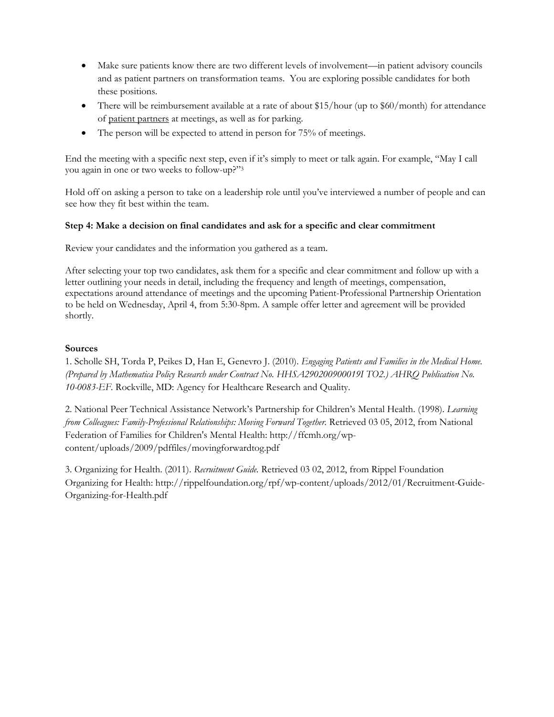- Make sure patients know there are two different levels of involvement—in patient advisory councils and as patient partners on transformation teams. You are exploring possible candidates for both these positions.
- There will be reimbursement available at a rate of about \$15/hour (up to \$60/month) for attendance of patient partners at meetings, as well as for parking.
- The person will be expected to attend in person for 75% of meetings.

End the meeting with a specific next step, even if it's simply to meet or talk again. For example, "May I call you again in one or two weeks to follow-up?"3

Hold off on asking a person to take on a leadership role until you've interviewed a number of people and can see how they fit best within the team.

#### **Step 4: Make a decision on final candidates and ask for a specific and clear commitment**

Review your candidates and the information you gathered as a team.

After selecting your top two candidates, ask them for a specific and clear commitment and follow up with a letter outlining your needs in detail, including the frequency and length of meetings, compensation, expectations around attendance of meetings and the upcoming Patient-Professional Partnership Orientation to be held on Wednesday, April 4, from 5:30-8pm. A sample offer letter and agreement will be provided shortly.

#### **Sources**

1. Scholle SH, Torda P, Peikes D, Han E, Genevro J. (2010). *Engaging Patients and Families in the Medical Home. (Prepared by Mathematica Policy Research under Contract No. HHSA290200900019I TO2.) AHRQ Publication No. 10-0083-EF.* Rockville, MD: Agency for Healthcare Research and Quality.

2. National Peer Technical Assistance Network's Partnership for Children's Mental Health. (1998). *Learning from Colleagues: Family-Professional Relationships: Moving Forward Together.* Retrieved 03 05, 2012, from National Federation of Families for Children's Mental Health: http://ffcmh.org/wpcontent/uploads/2009/pdffiles/movingforwardtog.pdf

3. Organizing for Health. (2011). *Recruitment Guide.* Retrieved 03 02, 2012, from Rippel Foundation Organizing for Health: http://rippelfoundation.org/rpf/wp-content/uploads/2012/01/Recruitment-Guide-Organizing-for-Health.pdf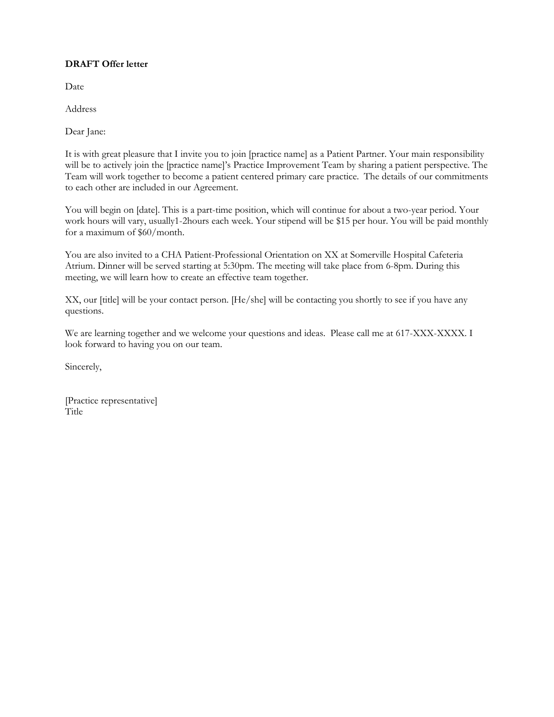#### **DRAFT Offer letter**

Date

Address

Dear Jane:

It is with great pleasure that I invite you to join [practice name] as a Patient Partner. Your main responsibility will be to actively join the [practice name]'s Practice Improvement Team by sharing a patient perspective. The Team will work together to become a patient centered primary care practice. The details of our commitments to each other are included in our Agreement.

You will begin on [date]. This is a part-time position, which will continue for about a two-year period. Your work hours will vary, usually1-2hours each week. Your stipend will be \$15 per hour. You will be paid monthly for a maximum of \$60/month.

You are also invited to a CHA Patient-Professional Orientation on XX at Somerville Hospital Cafeteria Atrium. Dinner will be served starting at 5:30pm. The meeting will take place from 6-8pm. During this meeting, we will learn how to create an effective team together.

XX, our [title] will be your contact person. [He/she] will be contacting you shortly to see if you have any questions.

We are learning together and we welcome your questions and ideas. Please call me at 617-XXX-XXXX. I look forward to having you on our team.

Sincerely,

[Practice representative] Title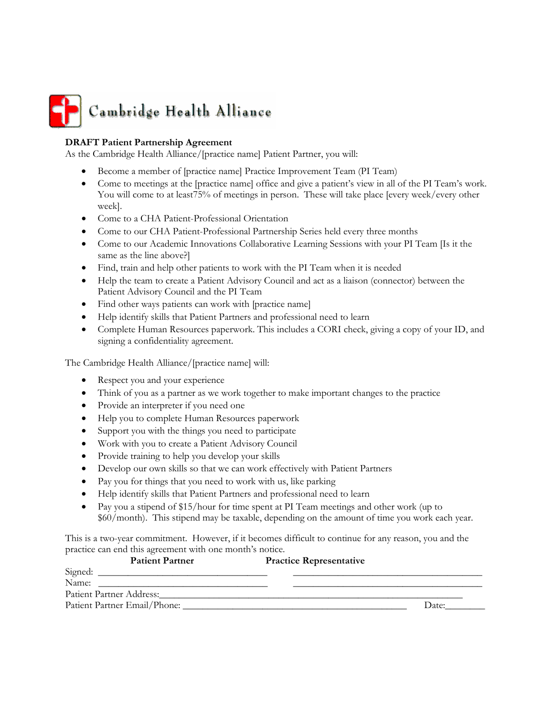

#### **DRAFT Patient Partnership Agreement**

As the Cambridge Health Alliance/[practice name] Patient Partner, you will:

- Become a member of [practice name] Practice Improvement Team (PI Team)
- Come to meetings at the [practice name] office and give a patient's view in all of the PI Team's work. You will come to at least75% of meetings in person. These will take place [every week/every other week].
- Come to a CHA Patient-Professional Orientation
- Come to our CHA Patient-Professional Partnership Series held every three months
- Come to our Academic Innovations Collaborative Learning Sessions with your PI Team [Is it the same as the line above?]
- Find, train and help other patients to work with the PI Team when it is needed
- Help the team to create a Patient Advisory Council and act as a liaison (connector) between the Patient Advisory Council and the PI Team
- Find other ways patients can work with [practice name]
- Help identify skills that Patient Partners and professional need to learn
- Complete Human Resources paperwork. This includes a CORI check, giving a copy of your ID, and signing a confidentiality agreement.

The Cambridge Health Alliance/[practice name] will:

- Respect you and your experience
- Think of you as a partner as we work together to make important changes to the practice
- Provide an interpreter if you need one
- Help you to complete Human Resources paperwork
- Support you with the things you need to participate
- Work with you to create a Patient Advisory Council
- Provide training to help you develop your skills
- Develop our own skills so that we can work effectively with Patient Partners
- Pay you for things that you need to work with us, like parking
- Help identify skills that Patient Partners and professional need to learn
- Pay you a stipend of \$15/hour for time spent at PI Team meetings and other work (up to \$60/month). This stipend may be taxable, depending on the amount of time you work each year.

This is a two-year commitment. However, if it becomes difficult to continue for any reason, you and the practice can end this agreement with one month's notice.

|         | <b>Patient Partner</b>       | <b>Practice Representative</b> |       |
|---------|------------------------------|--------------------------------|-------|
| Signed: |                              |                                |       |
| Name:   |                              |                                |       |
|         | Patient Partner Address:     |                                |       |
|         | Patient Partner Email/Phone: |                                | Date: |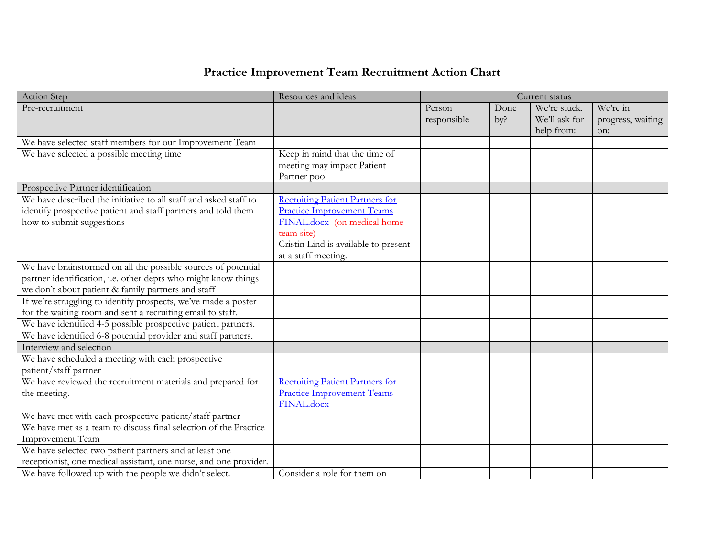# **Practice Improvement Team Recruitment Action Chart**

| <b>Action Step</b>                                                                                                                                                                    | Resources and ideas                                                                                                                                                                     |                       |             | Current status                              |                                      |
|---------------------------------------------------------------------------------------------------------------------------------------------------------------------------------------|-----------------------------------------------------------------------------------------------------------------------------------------------------------------------------------------|-----------------------|-------------|---------------------------------------------|--------------------------------------|
| Pre-recruitment                                                                                                                                                                       |                                                                                                                                                                                         | Person<br>responsible | Done<br>by? | We're stuck.<br>We'll ask for<br>help from: | We're in<br>progress, waiting<br>on: |
| We have selected staff members for our Improvement Team                                                                                                                               |                                                                                                                                                                                         |                       |             |                                             |                                      |
| We have selected a possible meeting time                                                                                                                                              | Keep in mind that the time of<br>meeting may impact Patient<br>Partner pool                                                                                                             |                       |             |                                             |                                      |
| Prospective Partner identification                                                                                                                                                    |                                                                                                                                                                                         |                       |             |                                             |                                      |
| We have described the initiative to all staff and asked staff to<br>identify prospective patient and staff partners and told them<br>how to submit suggestions                        | <b>Recruiting Patient Partners for</b><br><b>Practice Improvement Teams</b><br>FINAL.docx (on medical home<br>team site)<br>Cristin Lind is available to present<br>at a staff meeting. |                       |             |                                             |                                      |
| We have brainstormed on all the possible sources of potential<br>partner identification, i.e. other depts who might know things<br>we don't about patient & family partners and staff |                                                                                                                                                                                         |                       |             |                                             |                                      |
| If we're struggling to identify prospects, we've made a poster<br>for the waiting room and sent a recruiting email to staff.                                                          |                                                                                                                                                                                         |                       |             |                                             |                                      |
| We have identified 4-5 possible prospective patient partners.                                                                                                                         |                                                                                                                                                                                         |                       |             |                                             |                                      |
| We have identified 6-8 potential provider and staff partners.                                                                                                                         |                                                                                                                                                                                         |                       |             |                                             |                                      |
| Interview and selection                                                                                                                                                               |                                                                                                                                                                                         |                       |             |                                             |                                      |
| We have scheduled a meeting with each prospective<br>patient/staff partner                                                                                                            |                                                                                                                                                                                         |                       |             |                                             |                                      |
| We have reviewed the recruitment materials and prepared for<br>the meeting.                                                                                                           | <b>Recruiting Patient Partners for</b><br><b>Practice Improvement Teams</b><br><b>FINAL.docx</b>                                                                                        |                       |             |                                             |                                      |
| We have met with each prospective patient/staff partner                                                                                                                               |                                                                                                                                                                                         |                       |             |                                             |                                      |
| We have met as a team to discuss final selection of the Practice<br>Improvement Team                                                                                                  |                                                                                                                                                                                         |                       |             |                                             |                                      |
| We have selected two patient partners and at least one<br>receptionist, one medical assistant, one nurse, and one provider.                                                           |                                                                                                                                                                                         |                       |             |                                             |                                      |
| We have followed up with the people we didn't select.                                                                                                                                 | Consider a role for them on                                                                                                                                                             |                       |             |                                             |                                      |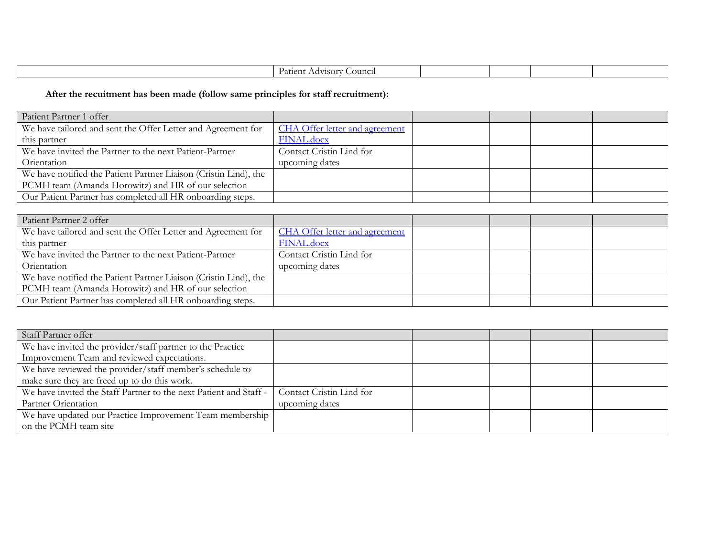| ancii.<br>Part<br>∩U<br>. . |  |  |  |
|-----------------------------|--|--|--|
|                             |  |  |  |

# **After the recuitment has been made (follow same principles for staff recruitment):**

| Patient Partner 1 offer                                          |                                       |  |  |
|------------------------------------------------------------------|---------------------------------------|--|--|
| We have tailored and sent the Offer Letter and Agreement for     | <b>CHA Offer letter and agreement</b> |  |  |
| this partner                                                     | <b>FINAL.docx</b>                     |  |  |
| We have invited the Partner to the next Patient-Partner          | Contact Cristin Lind for              |  |  |
| Orientation                                                      | upcoming dates                        |  |  |
| We have notified the Patient Partner Liaison (Cristin Lind), the |                                       |  |  |
| PCMH team (Amanda Horowitz) and HR of our selection              |                                       |  |  |
| Our Patient Partner has completed all HR onboarding steps.       |                                       |  |  |

| Patient Partner 2 offer                                          |                                |  |  |
|------------------------------------------------------------------|--------------------------------|--|--|
| We have tailored and sent the Offer Letter and Agreement for     | CHA Offer letter and agreement |  |  |
| this partner                                                     | <b>FINAL.docx</b>              |  |  |
| We have invited the Partner to the next Patient-Partner          | Contact Cristin Lind for       |  |  |
| Orientation                                                      | upcoming dates                 |  |  |
| We have notified the Patient Partner Liaison (Cristin Lind), the |                                |  |  |
| PCMH team (Amanda Horowitz) and HR of our selection              |                                |  |  |
| Our Patient Partner has completed all HR onboarding steps.       |                                |  |  |

| Staff Partner offer                                               |                          |  |  |
|-------------------------------------------------------------------|--------------------------|--|--|
| We have invited the provider/staff partner to the Practice        |                          |  |  |
| Improvement Team and reviewed expectations.                       |                          |  |  |
| We have reviewed the provider/staff member's schedule to          |                          |  |  |
| make sure they are freed up to do this work.                      |                          |  |  |
| We have invited the Staff Partner to the next Patient and Staff - | Contact Cristin Lind for |  |  |
| Partner Orientation                                               | upcoming dates           |  |  |
| We have updated our Practice Improvement Team membership          |                          |  |  |
| on the PCMH team site                                             |                          |  |  |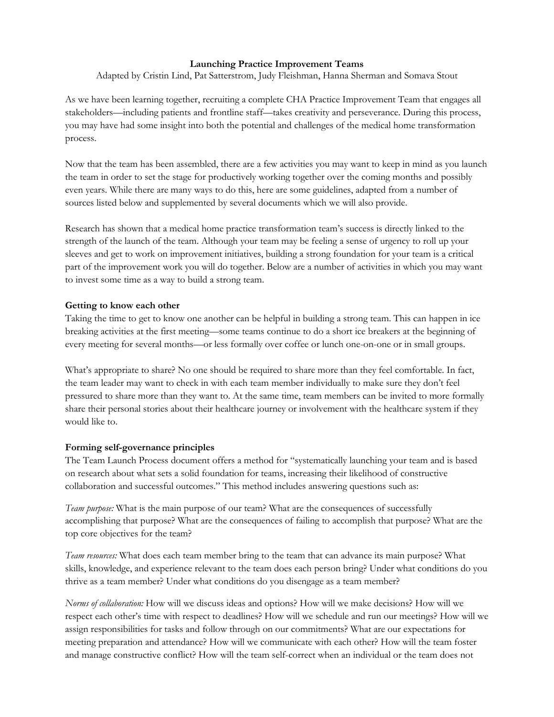#### **Launching Practice Improvement Teams**

Adapted by Cristin Lind, Pat Satterstrom, Judy Fleishman, Hanna Sherman and Somava Stout

As we have been learning together, recruiting a complete CHA Practice Improvement Team that engages all stakeholders—including patients and frontline staff—takes creativity and perseverance. During this process, you may have had some insight into both the potential and challenges of the medical home transformation process.

Now that the team has been assembled, there are a few activities you may want to keep in mind as you launch the team in order to set the stage for productively working together over the coming months and possibly even years. While there are many ways to do this, here are some guidelines, adapted from a number of sources listed below and supplemented by several documents which we will also provide.

Research has shown that a medical home practice transformation team's success is directly linked to the strength of the launch of the team. Although your team may be feeling a sense of urgency to roll up your sleeves and get to work on improvement initiatives, building a strong foundation for your team is a critical part of the improvement work you will do together. Below are a number of activities in which you may want to invest some time as a way to build a strong team.

#### **Getting to know each other**

Taking the time to get to know one another can be helpful in building a strong team. This can happen in ice breaking activities at the first meeting—some teams continue to do a short ice breakers at the beginning of every meeting for several months—or less formally over coffee or lunch one-on-one or in small groups.

What's appropriate to share? No one should be required to share more than they feel comfortable. In fact, the team leader may want to check in with each team member individually to make sure they don't feel pressured to share more than they want to. At the same time, team members can be invited to more formally share their personal stories about their healthcare journey or involvement with the healthcare system if they would like to.

#### **Forming self-governance principles**

The Team Launch Process document offers a method for "systematically launching your team and is based on research about what sets a solid foundation for teams, increasing their likelihood of constructive collaboration and successful outcomes." This method includes answering questions such as:

*Team purpose:* What is the main purpose of our team? What are the consequences of successfully accomplishing that purpose? What are the consequences of failing to accomplish that purpose? What are the top core objectives for the team?

*Team resources:* What does each team member bring to the team that can advance its main purpose? What skills, knowledge, and experience relevant to the team does each person bring? Under what conditions do you thrive as a team member? Under what conditions do you disengage as a team member?

*Norms of collaboration:* How will we discuss ideas and options? How will we make decisions? How will we respect each other's time with respect to deadlines? How will we schedule and run our meetings? How will we assign responsibilities for tasks and follow through on our commitments? What are our expectations for meeting preparation and attendance? How will we communicate with each other? How will the team foster and manage constructive conflict? How will the team self-correct when an individual or the team does not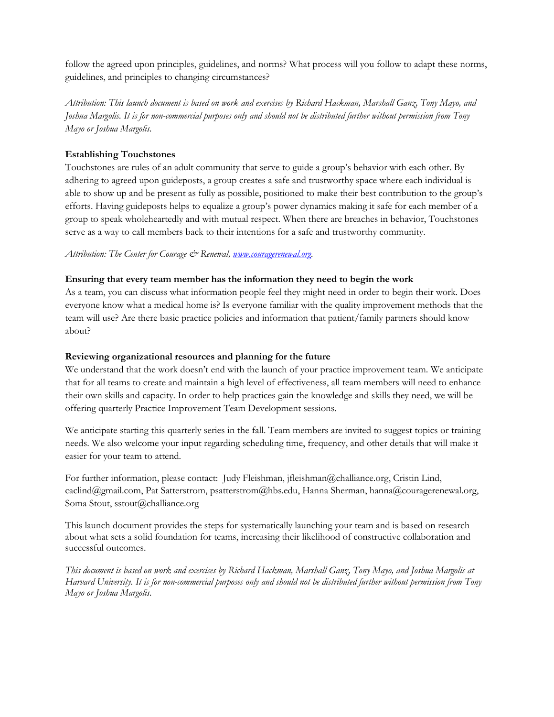follow the agreed upon principles, guidelines, and norms? What process will you follow to adapt these norms, guidelines, and principles to changing circumstances?

*Attribution: This launch document is based on work and exercises by Richard Hackman, Marshall Ganz, Tony Mayo, and Joshua Margolis. It is for non-commercial purposes only and should not be distributed further without permission from Tony Mayo or Joshua Margolis.*

#### **Establishing Touchstones**

Touchstones are rules of an adult community that serve to guide a group's behavior with each other. By adhering to agreed upon guideposts, a group creates a safe and trustworthy space where each individual is able to show up and be present as fully as possible, positioned to make their best contribution to the group's efforts. Having guideposts helps to equalize a group's power dynamics making it safe for each member of a group to speak wholeheartedly and with mutual respect. When there are breaches in behavior, Touchstones serve as a way to call members back to their intentions for a safe and trustworthy community.

*Attribution: The Center for Courage & Renewal, [www.couragerenewal.org.](http://www.couragerenewal.org/)*

#### **Ensuring that every team member has the information they need to begin the work**

As a team, you can discuss what information people feel they might need in order to begin their work. Does everyone know what a medical home is? Is everyone familiar with the quality improvement methods that the team will use? Are there basic practice policies and information that patient/family partners should know about?

#### **Reviewing organizational resources and planning for the future**

We understand that the work doesn't end with the launch of your practice improvement team. We anticipate that for all teams to create and maintain a high level of effectiveness, all team members will need to enhance their own skills and capacity. In order to help practices gain the knowledge and skills they need, we will be offering quarterly Practice Improvement Team Development sessions.

We anticipate starting this quarterly series in the fall. Team members are invited to suggest topics or training needs. We also welcome your input regarding scheduling time, frequency, and other details that will make it easier for your team to attend.

For further information, please contact: Judy Fleishman, [jfleishman@challiance.org,](mailto:jfleishman@challiance.org) Cristin Lind, [caclind@gmail.com,](mailto:caclind@gmail.com) Pat Satterstrom, [psatterstrom@hbs.edu,](mailto:psatterstrom@hbs.edu) Hanna Sherman, [hanna@couragerenewal.org,](mailto:hanna@couragerenewal.org) Soma Stout, [sstout@challiance.org](mailto:sstout@challiance.org)

This launch document provides the steps for systematically launching your team and is based on research about what sets a solid foundation for teams, increasing their likelihood of constructive collaboration and successful outcomes.

*This document is based on work and exercises by Richard Hackman, Marshall Ganz, Tony Mayo, and Joshua Margolis at Harvard University. It is for non-commercial purposes only and should not be distributed further without permission from Tony Mayo or Joshua Margolis.*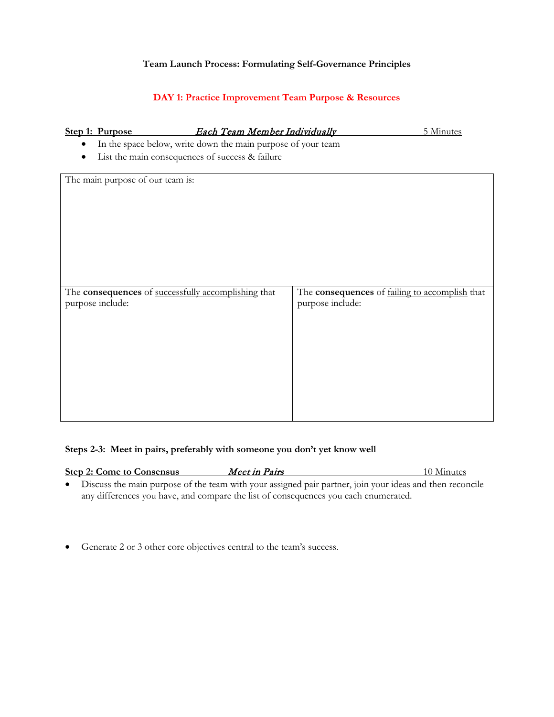#### **Team Launch Process: Formulating Self-Governance Principles**

### **DAY 1: Practice Improvement Team Purpose & Resources**

#### **Step 1: Purpose** *Each Team Member Individually* 5 Minutes

- In the space below, write down the main purpose of your team
- List the main consequences of success & failure

The main purpose of our team is:

| The <b>consequences</b> of successfully accomplishing that<br>purpose include: | The consequences of failing to accomplish that<br>purpose include: |
|--------------------------------------------------------------------------------|--------------------------------------------------------------------|
|                                                                                |                                                                    |
|                                                                                |                                                                    |
|                                                                                |                                                                    |
|                                                                                |                                                                    |
|                                                                                |                                                                    |

#### **Steps 2-3: Meet in pairs, preferably with someone you don't yet know well**

| <b>Step 2: Come to Consensus</b> | Meet in Pairs                                                                                              | 10 Minutes |
|----------------------------------|------------------------------------------------------------------------------------------------------------|------------|
|                                  | • Discuss the main purpose of the team with your assigned pair partner, join your ideas and then reconcile |            |
|                                  | any differences you have, and compare the list of consequences you each enumerated.                        |            |

• Generate 2 or 3 other core objectives central to the team's success.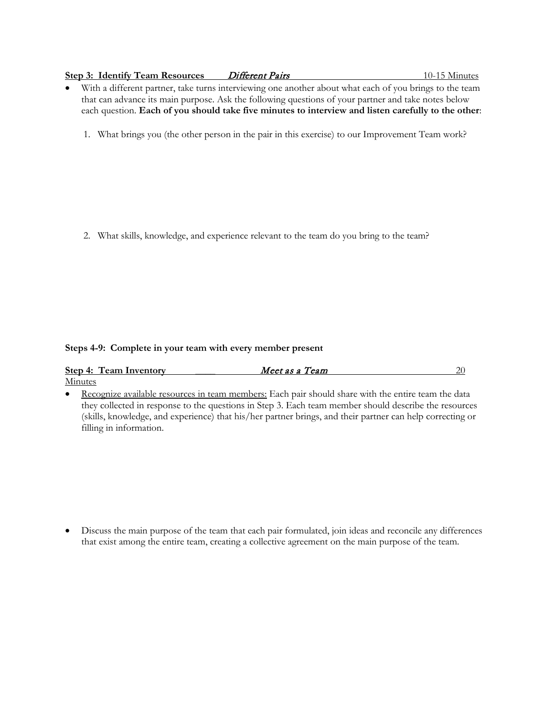#### **Step 3: Identify Team Resources** Different Pairs 10-15 Minutes

- With a different partner, take turns interviewing one another about what each of you brings to the team that can advance its main purpose. Ask the following questions of your partner and take notes below each question. **Each of you should take five minutes to interview and listen carefully to the other**:
	- 1. What brings you (the other person in the pair in this exercise) to our Improvement Team work?

2. What skills, knowledge, and experience relevant to the team do you bring to the team?

#### **Steps 4-9: Complete in your team with every member present**

| <b>Step 4: Team Inventory</b> | Meet as a Team |  |
|-------------------------------|----------------|--|
| Minutes                       |                |  |

• Recognize available resources in team members: Each pair should share with the entire team the data they collected in response to the questions in Step 3. Each team member should describe the resources (skills, knowledge, and experience) that his/her partner brings, and their partner can help correcting or filling in information.

• Discuss the main purpose of the team that each pair formulated, join ideas and reconcile any differences that exist among the entire team, creating a collective agreement on the main purpose of the team.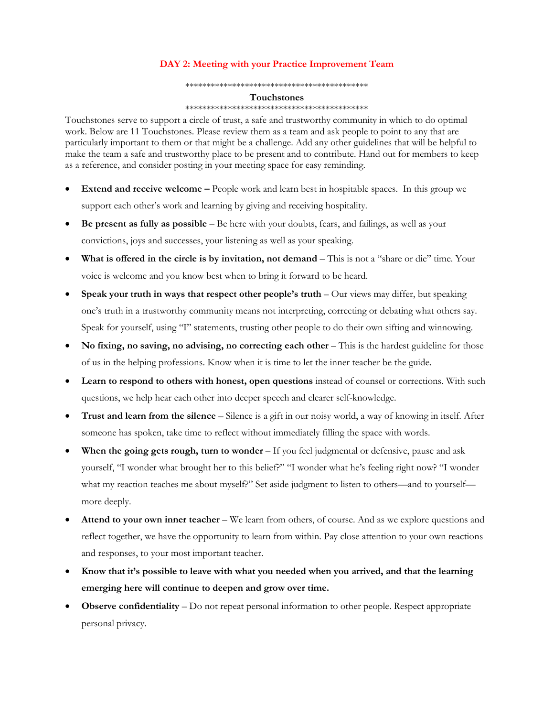#### **DAY 2: Meeting with your Practice Improvement Team**

\*\*\*\*\*\*\*\*\*\*\*\*\*\*\*\*\*\*\*\*\*\*\*\*\*\*\*\*\*\*\*\*\*\*\*\*\*\*\*\*\*\*\*

#### **Touchstones**

#### \*\*\*\*\*\*\*\*\*\*\*\*\*\*\*\*\*\*\*\*\*\*\*\*\*\*\*\*\*\*\*\*\*\*\*\*\*\*\*\*\*\*\*

Touchstones serve to support a circle of trust, a safe and trustworthy community in which to do optimal work. Below are 11 Touchstones. Please review them as a team and ask people to point to any that are particularly important to them or that might be a challenge. Add any other guidelines that will be helpful to make the team a safe and trustworthy place to be present and to contribute. Hand out for members to keep as a reference, and consider posting in your meeting space for easy reminding.

- **Extend and receive welcome –** People work and learn best in hospitable spaces. In this group we support each other's work and learning by giving and receiving hospitality.
- **Be present as fully as possible** Be here with your doubts, fears, and failings, as well as your convictions, joys and successes, your listening as well as your speaking.
- **What is offered in the circle is by invitation, not demand** This is not a "share or die" time. Your voice is welcome and you know best when to bring it forward to be heard.
- **Speak your truth in ways that respect other people's truth** Our views may differ, but speaking one's truth in a trustworthy community means not interpreting, correcting or debating what others say. Speak for yourself, using "I" statements, trusting other people to do their own sifting and winnowing.
- **No fixing, no saving, no advising, no correcting each other** This is the hardest guideline for those of us in the helping professions. Know when it is time to let the inner teacher be the guide.
- **Learn to respond to others with honest, open questions** instead of counsel or corrections. With such questions, we help hear each other into deeper speech and clearer self-knowledge.
- **Trust and learn from the silence**  Silence is a gift in our noisy world, a way of knowing in itself. After someone has spoken, take time to reflect without immediately filling the space with words.
- **When the going gets rough, turn to wonder**  If you feel judgmental or defensive, pause and ask yourself, "I wonder what brought her to this belief?" "I wonder what he's feeling right now? "I wonder what my reaction teaches me about myself?" Set aside judgment to listen to others—and to yourself more deeply.
- **Attend to your own inner teacher**  We learn from others, of course. And as we explore questions and reflect together, we have the opportunity to learn from within. Pay close attention to your own reactions and responses, to your most important teacher.
- **Know that it's possible to leave with what you needed when you arrived, and that the learning emerging here will continue to deepen and grow over time.**
- **Observe confidentiality**  Do not repeat personal information to other people. Respect appropriate personal privacy.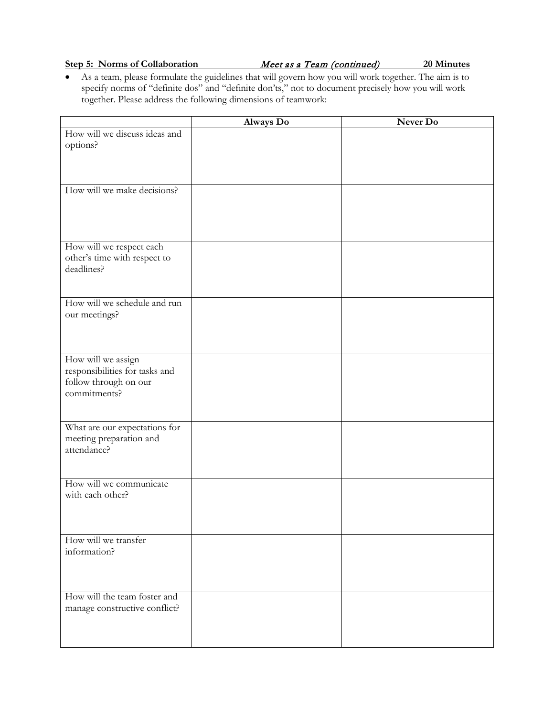#### **Step 5: Norms of Collaboration** *Meet as a Team (continued)* 20 Minutes

• As a team, please formulate the guidelines that will govern how you will work together. The aim is to specify norms of "definite dos" and "definite don'ts," not to document precisely how you will work together. Please address the following dimensions of teamwork:

|                                | Always Do | Never Do |
|--------------------------------|-----------|----------|
| How will we discuss ideas and  |           |          |
| options?                       |           |          |
|                                |           |          |
|                                |           |          |
| How will we make decisions?    |           |          |
|                                |           |          |
|                                |           |          |
|                                |           |          |
| How will we respect each       |           |          |
| other's time with respect to   |           |          |
| deadlines?                     |           |          |
|                                |           |          |
| How will we schedule and run   |           |          |
| our meetings?                  |           |          |
|                                |           |          |
|                                |           |          |
| How will we assign             |           |          |
| responsibilities for tasks and |           |          |
| follow through on our          |           |          |
| commitments?                   |           |          |
|                                |           |          |
| What are our expectations for  |           |          |
| meeting preparation and        |           |          |
| attendance?                    |           |          |
|                                |           |          |
| How will we communicate        |           |          |
| with each other?               |           |          |
|                                |           |          |
|                                |           |          |
| How will we transfer           |           |          |
| information?                   |           |          |
|                                |           |          |
|                                |           |          |
| How will the team foster and   |           |          |
| manage constructive conflict?  |           |          |
|                                |           |          |
|                                |           |          |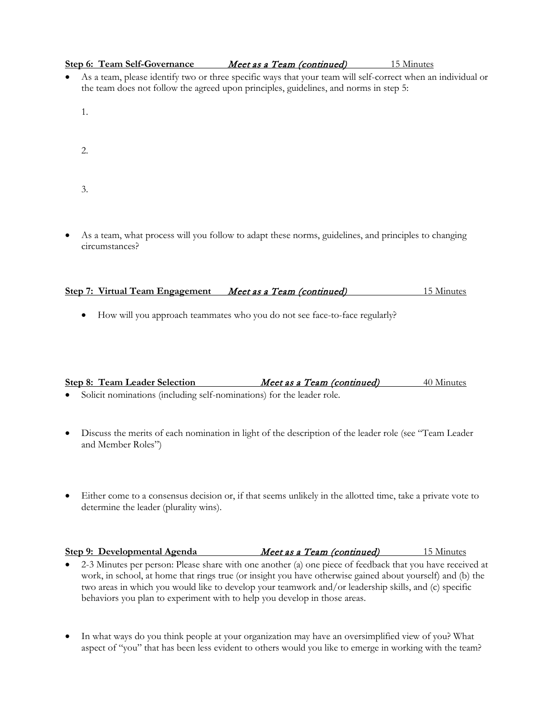|  | <b>Step 6: Team Self-Governance</b>                                                   | Meet as a Team (continued) | 15 Minutes                                                                                                     |
|--|---------------------------------------------------------------------------------------|----------------------------|----------------------------------------------------------------------------------------------------------------|
|  |                                                                                       |                            | • As a team, please identify two or three specific ways that your team will self-correct when an individual or |
|  | the team does not follow the agreed upon principles, guidelines, and norms in step 5: |                            |                                                                                                                |

- 1.
- 2.
- 3.
- As a team, what process will you follow to adapt these norms, guidelines, and principles to changing circumstances?

| Step 7: Virtual Team Engagement | Meet as a Team (continued) | 15 Minutes |
|---------------------------------|----------------------------|------------|
|                                 |                            |            |

• How will you approach teammates who you do not see face-to-face regularly?

|  | <b>Step 8: Team Leader Selection</b> |   |  |  |   |  |  |  | Meet as a Team (continued) | 40 Minutes |
|--|--------------------------------------|---|--|--|---|--|--|--|----------------------------|------------|
|  |                                      | . |  |  | . |  |  |  |                            |            |

- Solicit nominations (including self-nominations) for the leader role.
- Discuss the merits of each nomination in light of the description of the leader role (see "Team Leader and Member Roles")
- Either come to a consensus decision or, if that seems unlikely in the allotted time, take a private vote to determine the leader (plurality wins).

| Step 9: Developmental Agenda                                                                               | Meet as a Team (continued) | 15 Minutes |
|------------------------------------------------------------------------------------------------------------|----------------------------|------------|
| 2-3 Minutes per person: Please share with one another (a) one piece of feedback that you have received at  |                            |            |
| work, in school, at home that rings true (or insight you have otherwise gained about yourself) and (b) the |                            |            |
| two areas in which you would like to develop your teamwork and/or leadership skills, and (c) specific      |                            |            |

behaviors you plan to experiment with to help you develop in those areas.

• In what ways do you think people at your organization may have an oversimplified view of you? What aspect of "you" that has been less evident to others would you like to emerge in working with the team?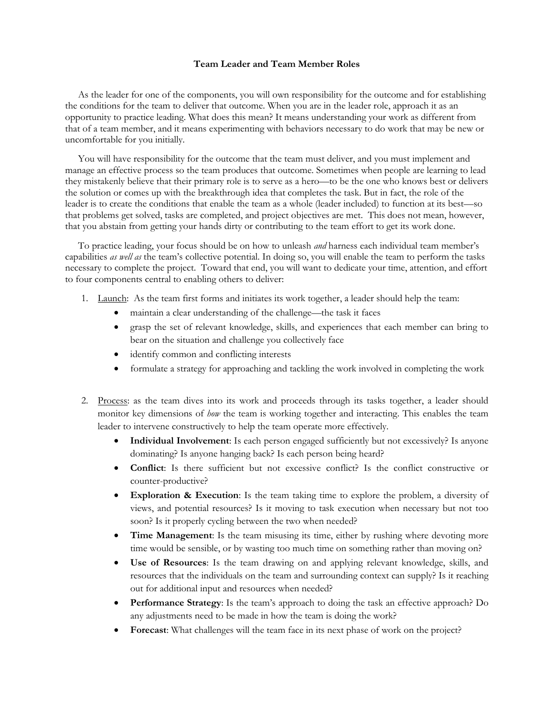#### **Team Leader and Team Member Roles**

As the leader for one of the components, you will own responsibility for the outcome and for establishing the conditions for the team to deliver that outcome. When you are in the leader role, approach it as an opportunity to practice leading. What does this mean? It means understanding your work as different from that of a team member, and it means experimenting with behaviors necessary to do work that may be new or uncomfortable for you initially.

You will have responsibility for the outcome that the team must deliver, and you must implement and manage an effective process so the team produces that outcome. Sometimes when people are learning to lead they mistakenly believe that their primary role is to serve as a hero—to be the one who knows best or delivers the solution or comes up with the breakthrough idea that completes the task. But in fact, the role of the leader is to create the conditions that enable the team as a whole (leader included) to function at its best—so that problems get solved, tasks are completed, and project objectives are met. This does not mean, however, that you abstain from getting your hands dirty or contributing to the team effort to get its work done.

To practice leading, your focus should be on how to unleash *and* harness each individual team member's capabilities *as well as* the team's collective potential. In doing so, you will enable the team to perform the tasks necessary to complete the project. Toward that end, you will want to dedicate your time, attention, and effort to four components central to enabling others to deliver:

- 1. Launch: As the team first forms and initiates its work together, a leader should help the team:
	- maintain a clear understanding of the challenge—the task it faces
	- grasp the set of relevant knowledge, skills, and experiences that each member can bring to bear on the situation and challenge you collectively face
	- identify common and conflicting interests
	- formulate a strategy for approaching and tackling the work involved in completing the work
- 2. Process: as the team dives into its work and proceeds through its tasks together, a leader should monitor key dimensions of *how* the team is working together and interacting. This enables the team leader to intervene constructively to help the team operate more effectively.
	- **Individual Involvement**: Is each person engaged sufficiently but not excessively? Is anyone dominating? Is anyone hanging back? Is each person being heard?
	- **Conflict**: Is there sufficient but not excessive conflict? Is the conflict constructive or counter-productive?
	- **Exploration & Execution**: Is the team taking time to explore the problem, a diversity of views, and potential resources? Is it moving to task execution when necessary but not too soon? Is it properly cycling between the two when needed?
	- **Time Management**: Is the team misusing its time, either by rushing where devoting more time would be sensible, or by wasting too much time on something rather than moving on?
	- **Use of Resources**: Is the team drawing on and applying relevant knowledge, skills, and resources that the individuals on the team and surrounding context can supply? Is it reaching out for additional input and resources when needed?
	- **Performance Strategy**: Is the team's approach to doing the task an effective approach? Do any adjustments need to be made in how the team is doing the work?
	- **Forecast**: What challenges will the team face in its next phase of work on the project?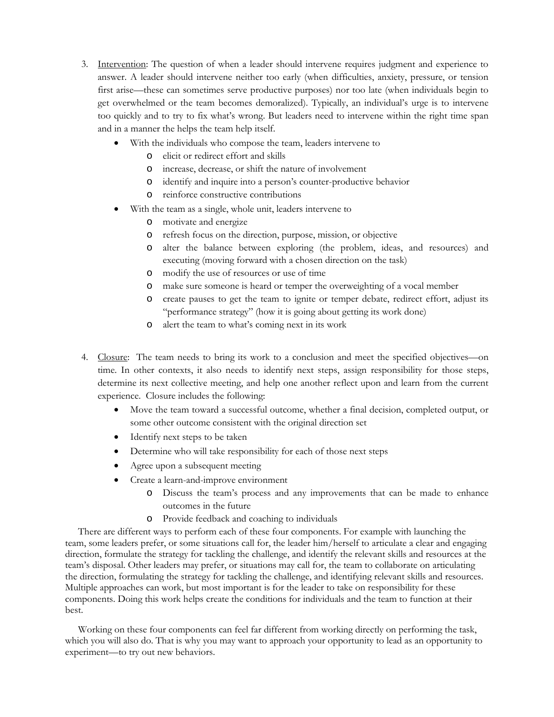- 3. Intervention: The question of when a leader should intervene requires judgment and experience to answer. A leader should intervene neither too early (when difficulties, anxiety, pressure, or tension first arise—these can sometimes serve productive purposes) nor too late (when individuals begin to get overwhelmed or the team becomes demoralized). Typically, an individual's urge is to intervene too quickly and to try to fix what's wrong. But leaders need to intervene within the right time span and in a manner the helps the team help itself.
	- With the individuals who compose the team, leaders intervene to
		- o elicit or redirect effort and skills
		- o increase, decrease, or shift the nature of involvement
		- o identify and inquire into a person's counter-productive behavior
		- o reinforce constructive contributions
	- With the team as a single, whole unit, leaders intervene to
		- o motivate and energize
		- o refresh focus on the direction, purpose, mission, or objective
		- o alter the balance between exploring (the problem, ideas, and resources) and executing (moving forward with a chosen direction on the task)
		- o modify the use of resources or use of time
		- o make sure someone is heard or temper the overweighting of a vocal member
		- o create pauses to get the team to ignite or temper debate, redirect effort, adjust its "performance strategy" (how it is going about getting its work done)
		- o alert the team to what's coming next in its work
- 4. Closure: The team needs to bring its work to a conclusion and meet the specified objectives—on time. In other contexts, it also needs to identify next steps, assign responsibility for those steps, determine its next collective meeting, and help one another reflect upon and learn from the current experience. Closure includes the following:
	- Move the team toward a successful outcome, whether a final decision, completed output, or some other outcome consistent with the original direction set
	- Identify next steps to be taken
	- Determine who will take responsibility for each of those next steps
	- Agree upon a subsequent meeting
	- Create a learn-and-improve environment
		- o Discuss the team's process and any improvements that can be made to enhance outcomes in the future
		- o Provide feedback and coaching to individuals

There are different ways to perform each of these four components. For example with launching the team, some leaders prefer, or some situations call for, the leader him/herself to articulate a clear and engaging direction, formulate the strategy for tackling the challenge, and identify the relevant skills and resources at the team's disposal. Other leaders may prefer, or situations may call for, the team to collaborate on articulating the direction, formulating the strategy for tackling the challenge, and identifying relevant skills and resources. Multiple approaches can work, but most important is for the leader to take on responsibility for these components. Doing this work helps create the conditions for individuals and the team to function at their best.

Working on these four components can feel far different from working directly on performing the task, which you will also do. That is why you may want to approach your opportunity to lead as an opportunity to experiment—to try out new behaviors.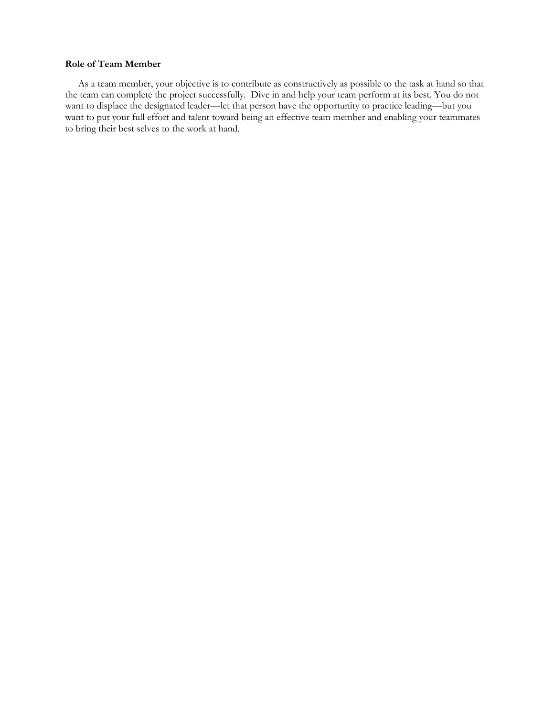#### **Role of Team Member**

As a team member, your objective is to contribute as constructively as possible to the task at hand so that the team can complete the project successfully. Dive in and help your team perform at its best. You do not want to displace the designated leader—let that person have the opportunity to practice leading—but you want to put your full effort and talent toward being an effective team member and enabling your teammates to bring their best selves to the work at hand.